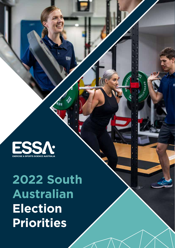FSSA. **EXERCISE & SPORTS SCIENCE AUSTRALIA** 

# **2022 South Australian Election Priorities**

**ESS!** 

ough

**REVOLUS**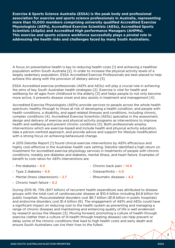**Exercise & Sports Science Australia (ESSA) is the peak body and professional association for exercise and sports science professionals in Australia, representing more than 10,000 members comprising university qualified Accredited Exercise Physiologists (AEPs), Accredited Exercise Scientists (AESs), Accredited Sports Scientists (ASpSs) and Accredited High performance Managers (AHPMs). This exercise and sports science workforce successfully plays a pivotal role in addressing the health risks and challenges faced by many South Australians.** 

A focus on preventative health is key to reducing health costs [1] and achieving a healthier population within South Australia [2]. In order to increase the physical activity levels of a largely sedentary population, ESSA Accredited Exercise Professionals are best placed to help achieve this along with the provision of dietary advice [3].

ESSA Accredited exercise professionals (AEPs and AESs) will play a crucial role in achieving the aims of key South Australian health strategies [2]. Exercise is vital for health and wellbeing for all ages from childhood to the elderly [3] and helps people to not only become more active, it prevents disease onset and also assists in treatment and management [4].

Accredited Exercise Physiologists (AEPs) provide services to people across the whole health spectrum, healthy through to those at risk of developing a health condition, and people with health conditions, a disability, and aged related illnesses and conditions, including chronic, complex conditions [4]. Accredited Exercise Scientists (AESs) specialise in the assessment, design and delivery of exercise and physical activity programs as interventions to improve health and wellbeing and prevent chronic conditions [5]. Both professionals employ interventions which are exercise-based and include health and physical activity education, take a person-centred approach, and provide advice and support for lifestyle modification with a strong focus on achieving behavioural change.

A 2015 Deloitte Report [1] found clinical exercise interventions by AEPs efficacious and highly cost-effective in the Australian health care setting. Deloitte identified a high return on investment for accredited exercise physiology services in treatments of people with chronic conditions, notably pre-diabetes and diabetes, mental illness, and heart failure. Examples of benefit to cost ratios for AEPs interventions are:

- › Pre-diabetes **6.0**
- › Type 2 diabetes **8.8**
- › Mental illness (depression) **2.7**
- › Chronic heart failure **6.2**
- › Chronic back pain **14.6**
- › Osteoarthritis **4.0**
- › Rheumatic diseases **4.2**

During 2015-16, 73% (\$117 billion) of recurrent health expenditure was attributed to disease groups with the total cost of cardiovascular disease at \$10.4 billion including \$4.8 billion for public hospitals. Musculoskeletal disorders cost \$6.7 billion (\$1.8 billion in public hospitals) and endocrine disorders cost \$1.4 billion [6]. The engagement of AEPs and AESs could have a significant impact on reducing cost to the health system as preventing and managing a range of chronic diseases and maintaining and enhancing quality of life is well evidenced by research across the lifespan [3]. Moving forward, promoting a culture of health through exercise (rather than a culture of ill-health through treating disease) can help prevent or delay some of the chronic conditions that lead to high health costs and early death and ensure South Australians can live their lives to the fullest.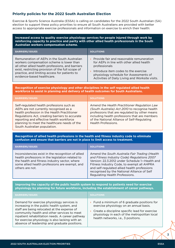# **Priority policies for the 2022 South Australian Election**

Exercise & Sports Science Australia (ESSA) is calling on candidates for the 2022 South Australian (SA) election to support these policy priorities to ensure all South Australians are provided with better access to appropriate exercise professionals and information on exercise to enrich their health:

#### **Increased access to quality exercise physiology services for people injured through work by reinforcing capacity to practice and parity with other allied health professionals in the South Australian workers compensation scheme.**

| <b>BARRIERS/ISSUES</b>                            | <b>SOLUTIONS</b>                                |
|---------------------------------------------------|-------------------------------------------------|
| Remuneration of AEPs in the South Australian      | Provide fair and reasonable remuneration        |
| workers compensation scheme is lower than         | for AEPs in line with other allied health       |
| all other allied health professions, and barriers | professionals                                   |
| exist, restricting provision of the full scope of | Introduce item codes to the exercise            |
| practice, and limiting access for patients to     | physiology schedule for Assessments of          |
| evidence-based healthcare.                        | Activities of Daily Living and Worksite visits. |

**Recognition of exercise physiology and other disciplines in the self regulated allied health workforce to assist in planning and delivery of health outcomes for South Australians.**

| <b>BARRIERS/ISSUES</b>                                                                                                                                                                                                                                                                                            | <b>SOLUTIONS</b>                                                                                                                                                                                                                                                       |
|-------------------------------------------------------------------------------------------------------------------------------------------------------------------------------------------------------------------------------------------------------------------------------------------------------------------|------------------------------------------------------------------------------------------------------------------------------------------------------------------------------------------------------------------------------------------------------------------------|
| Self-regulated health professions such as<br>AEPs are not currently recognised as a<br>health profession in the Health Practitioner<br>Regulations Act, creating barriers to accurate<br>reporting and effective health workforce<br>planning to meet the healthcare needs of the<br>South Australian population. | Amend the Health Practitioner Regulation Law<br>(South Australia) Act 2010 to recognise health<br>professions that are regulated by other means<br>including health professions that are members<br>of the National Alliance of Self-Regulating<br>Health Professions. |

**Recognition of allied health professions in the health and fitness industry code to eliminate confusion and ensure that barriers are not in place to limit access to treatment.** 

| <b>BARRIERS/ISSUES</b>                                                                                                                                                                                                       | <b>SOLUTIONS</b>                                                                                                                                                                                                                                                                                                               |
|------------------------------------------------------------------------------------------------------------------------------------------------------------------------------------------------------------------------------|--------------------------------------------------------------------------------------------------------------------------------------------------------------------------------------------------------------------------------------------------------------------------------------------------------------------------------|
| Inconsistencies exist in the recognition of allied<br>health professions in the legislation related to<br>the health and fitness industry sector, where<br>some allied health professions are exempt, and<br>others are not. | Amend the South Australia Fair Trading (Health<br>and Fitness Industry Code) Regulations 2007<br>Version: 22.3.2012 under Schedule 1-Health and<br>Fitness Industry Code, to exempt all AHPRA<br>and self-regulated allied health professions<br>recognised by the National Alliance of Self<br>Regulating Health Professions. |

#### **Improving the capacity of the public health system to respond to patients need for exercise physiology by planning for future workforce, including the establishment of career pathways.**

| <b>BARRIERS/ISSUES</b>                                                                                                                                                                                                                                                                                                                          | <b>SQLUTIONS</b>                                                                                                                                                                                                               |
|-------------------------------------------------------------------------------------------------------------------------------------------------------------------------------------------------------------------------------------------------------------------------------------------------------------------------------------------------|--------------------------------------------------------------------------------------------------------------------------------------------------------------------------------------------------------------------------------|
| Demand for exercise physiology services is<br>increasing in the public health system, and<br>staff are being relocated at the expense of<br>community health and other services to meet<br>inpatient rehabilitation needs. A career pathway<br>for exercise physiology is also lacking with an<br>absence of leadership and graduate positions. | Fund a minimum of 6 graduate positions for<br>exercise physiology on an annual basis.<br>Create a discipline specific lead for exercise<br>physiology in each of the metropolitan local<br>health networks, i.e., 3 positions. |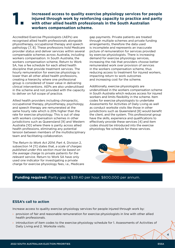# Increased access to quality exercise physiology services for people<br>injured through work by reinforcing capacity to practice and parity<br>with other allied health professionals in the South Australian **injured through work by reinforcing capacity to practice and parity with other allied health professionals in the South Australian workers compensation scheme.**

Accredited Exercise Physiologists (AEPs) are recognised allied health professionals alongside physiotherapy, occupational therapy and speech pathology [7, 8]. These professions hold Medicare provider status and deliver services within several compensable schemes across Australia, including workers compensation. In South Australia, the workers compensation scheme, Return to Work SA, has a fee schedule for each allied health discipline that provide treatment services. The hourly remuneration for exercise physiology is lower than all other allied health professions, creating a hierarchy where one professional group is considered of lower value in delivering clinical interventions. AEPs are also underutilised in the scheme and not provided with the capacity to deliver on full scope of practice.

Allied health providers including chiropractic, occupational therapy, physiotherapy, psychology, and speech therapy are remunerated at the same hourly rate which is 20% higher than the rate for exercise physiology. This is out of step with workers compensation schemes in other jurisdictions such as Queensland [9] and Western Australia [10] where there is parity across allied health professions, eliminating any potential tension between members of the multidisciplinary team and facilitating collaboration.

The *Return to Work Act 2014*, Part 4, Division 2, subsection 14 [11] states that, *a scale of charges published under this section must be based on the average charge to private patients for the relevant service.* Return to Work SA have only used one indicator for investigating a private charge for exercise physiology fees, i.e., Medicare gap payments. Private patients are treated through multiple schemes and private funding arrangements, therefore the data used is incomplete and represents an inaccurate picture of remuneration for services provided by exercise physiologists. There is increasing demand for exercise physiology services, increasing the risk that providers choose better remunerated work over provision of services in the workers compensation scheme, thus reducing access to treatment for injured workers, impacting return to work outcomes and increasing cost for the scheme.

Additionally, exercise physiologists are underutilised in the workers compensation scheme in South Australia which reduces access for injured workers and limits flexibility in the scheme. Item codes for exercise physiologists to undertake Assessments for Activities of Daily Living as well as conduct worksite visits like those in other jurisdictions such as Queensland [8] would benefit the client, and the system. This professional group have the skills, experience and qualifications to effectively provide these services [4] and item codes should be introduced into the exercise physiology fee schedule for these services.



## **Funding required:** Parity gap is \$39.40 per hour. \$800,000 per annum.

# **ESSA's call to action**

Increase access to quality exercise physiology services for people injured through work by:

- › provision of fair and reasonable remuneration for exercise physiologists in line with other allied health professionals.
- › introduction of item codes to the exercise physiology schedule for 1. Assessments of Activities of Daily Living and 2. Worksite visits.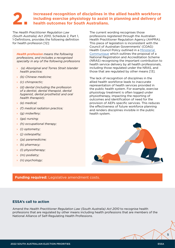# **2. Increased recognition of disciplines in the allied health workforce including exercise physiology to assist in planning and delivery of health outcomes for South Australians. including exercise physiology to assist in planning and delivery of health outcomes for South Australians.**

The *Health Practitioner Regulation Law (South Australia) Act 2010*, Schedule 2, Part 1, 1-Definitions, provides the following definition for health profession [12]:

*Health profession means the following professions, and includes a recognised specialty in any of the following professions* 

- › *(a) Aboriginal and Torres Strait Islander health practice;*
- › *(b) Chinese medicine;*
- › *(c) chiropractic;*
- › *(d) dental (including the profession of a dentist, dental therapist, dental hygienist, dental prosthetist and oral health therapist);*
- › *(e) medical;*
- › *(f) medical radiation practice;*
- › *(g) midwifery;*
- › *(ga) nursing;*
- › *(h) occupational therapy;*
- › *(i) optometry;*
- › *(j) osteopathy;*
- › *(ja) paramedicine;*
- › *(k) pharmacy;*
- › *(l) physiotherapy;*
- › *(m) podiatry;*
- › *(n) psychology;*

The current wording recognises those professions registered through the Australian Health Practitioner Regulation Agency (AHPRA). This piece of legislation is inconsistent with the Council of Australian Governments' (COAG) Health Council Policy outlined in a [Ministerial](http://www.coaghealthcouncil.gov.au/Portals/0/CHC Communique 110918_1.pdf)  [Communique](http://www.coaghealthcouncil.gov.au/Portals/0/CHC Communique 110918_1.pdf) which outlines the proposal of a National Registration and Accreditation Scheme (NRAS) recognising the important contribution to health service delivery by all health professionals, including those regulated under the NRAS, and those that are regulated by other means [13].

The lack of recognition of disciplines in the allied health workforce leads to inaccurate representation of health services provided in the public health system. For example, exercise physiology treatment is often logged under physiotherapy, impacting the reporting of outcomes and identification of need for the provision of AEPs specific services. This reduces the effectiveness of future workforce planning and renders disciplines invisible in the public health system.



#### **Funding required:** Legislative amendment costs.

## **ESSA's call to action**

Amend the *Health Practitioner Regulation Law (South Australia) Act 2010* to recognise health professions that are regulated by other means including health professions that are members of the National Alliance of Self-Regulating Health Professions.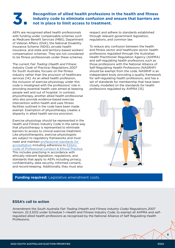# **3. Recognition of allied health professions in the health and fitness industry code to eliminate confusion and ensure that barriers are not in place to limit access to treatment. industry code to eliminate confusion and ensure that barriers are not in place to limit access to treatment.**

AEPs are recognised allied health professionals with funding under compensable schemes such as Medicare Benefit Services (MBS), Department of Veteran Affairs (DVA), the National Disability Insurance Scheme (NDIS), private health insurance, and state and territory-based workers' compensation schemes. They are not considered to be fitness professionals under these schemes.

The current *Fair Trading (Health and Fitness Industry Code of Practice) Regulations 2007* for South Australia, focuses on the fitness industry rather than the provision of healthcare services [14]. As an allied health profession, the inclusion of exercise physiology under this code is misaligned with the professions' role in providing essential health care aimed at keeping people well and out of hospital. In contrast, physiotherapy, another allied health professional who also provide evidence-based exercise intervention within health and uses fitness facilities outlined in the code have been made exempt. Exemption of physiotherapy creates a disparity in allied health service provision.

Exercise physiology should be represented in the Health and Fitness Industry Code in the same way that physiotherapy is represented to eliminate barriers to access to clinical exercise treatment. Like physiotherapists, exercise physiologists are subject to regulatory frameworks and must meet and maintain [professional standards for](https://www.essa.org.au/Public/Professional_Standards/The_professional_standards.aspx)  [accreditation](https://www.essa.org.au/Public/Professional_Standards/The_professional_standards.aspx) including adherence to [ESSA's](https://www.essa.org.au/Public/Professional_Standards/ESSA_Code_of_Professional_Conduct___Ethical_Practice.aspx)  [Code of Professional Conduct & Ethical Practice.](https://www.essa.org.au/Public/Professional_Standards/ESSA_Code_of_Professional_Conduct___Ethical_Practice.aspx) This includes practising in accordance with ethically relevant legislation, regulations, and standards that apply to AEPs including privacy, confidentiality, data security, informed consent, and record-keeping. Additionally, they must also

respect and adhere to standards established through relevant government legislation, regulations, and common law.

To reduce any confusion between the health and fitness sector and healthcare sector, health professions regulated through the Australian Health Practitioner Regulation Agency (AHPRA) and self-regulating health professions such as those professions with the National Alliance of Self-Regulating Health Professions (NASRHP) should be exempt from the code. NASRHP is an independent body providing a quality framework for self-regulating health professions, and has a set of standards for membership that have been closely modelled on the standards for health professions regulated by AHPRA [15].



## **Funding required:** Legislative amendment costs.

## **ESSA's call to action**

Amendment the *South Australia Fair Trading (Health and Fitness Industry Code) Regulations 2007*  Version: 22.3.2012 under Schedule 1—Health and Fitness Industry Code, to exempt all AHPRA and selfregulated allied health professions as recognised by the National Alliance of Self Regulating Health Professions.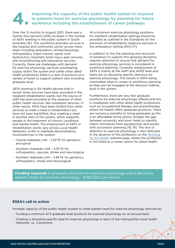# **4.** Improving the capacity of the public health system to respond to patients need for exercise physiology by planning for future workforce including the establishment of career pathways. **to patients need for exercise physiology by planning for future workforce including the establishment of career pathways.**

Over the 12 months to August 2021, there was a twenty-four percent (24%) increase in the number of AEPs working in the public system in South Australia [16]. This workforce provides services in the hospital and community sector across many areas including amputation, stroke/neurology, orthopaedics, major trauma, spinal cord dysfunction, traumatic brain injury, pain services, and reconditioning and restorative services. Currently, there are challenges with demand for exercise physiology services outstripping supply within the system and unlike other allied health professions there is a lack of positions at a variety of levels to support patient care including graduate level.

AEPs working in SA Health advises that in recent times services have been provided in the inpatient rehabilitation wards, but the source of staff has been provided at the expense of other public health services, like outpatient services. In other words, AEPs have been shifted from other services to meet a need in rehabilitation but have not been backfilled, thus creating a need in another area of the system, which supports people in the treatment of chronic conditions and mental health. The employment of AEPs in rehabilitation wards vary across Local Health Networks (LHN) in Adelaide demonstrating inconsistencies in the system:

- › Central Adelaide LHN 2.0FTE for geriatrics and spinal
- › Southern Adelaide LHN 4.5FTE for orthopaedics, vascular, stroke and neurological
- › Northern Adelaide LHN 4.8FTE for geriatrics, orthopaedics, stroke and neurological

At a minimum exercise physiology positions for inpatient rehabilitation settings should be provided as outlined in the Standards for the provision of rehabilitation medicine services in the ambulatory setting 2014 [17].

In addition to this the planning and structure of positions to support this growing discipline requires attention to ensure that demand for exercise physiology services is considered in workforce planning. Currently, employment of AEPs is mainly at the AHP1 and AHP2 level and there are no discipline specific directors for exercise physiology. This results in AEPs being overlooked when it comes to workforce planning as they are not engaged at the decision-making level in the system.

Furthermore, there are very few graduate positions for exercise physiology offered and this is misaligned with other allied health professions such as occupational therapy and physiotherapy where SA Health offers graduate positions. There are numerous benefits to hiring graduates as this is an affordable hiring option, bridges the gap between university and work, helps to identify talent, introduces fresh perspectives and assists with succession planning [18, 19]. The lack of attention to exercise physiology is also reflected in the absence of this profession on the [Working](https://www.sahealth.sa.gov.au/wps/wcm/connect/public+content/sa+health+internet/careers/working+for+sa+health/working+for+sa+health)  [for SA Health](https://www.sahealth.sa.gov.au/wps/wcm/connect/public+content/sa+health+internet/careers/working+for+sa+health/working+for+sa+health) website page, where the profession is not listed as a career option for allied health.

**Funding required:** 6 graduate positions for exercise physiology and 3 discipline specific leads for exercise physiology - \$790,500 per annum.

## **ESSA's call to action**

Increase capacity of the public health system to meet patient need for exercise physiology services by:

- **>** Funding a minimum of 6 graduate level positions for exercise physiology on an annual basis.
- › Creating a discipline specific lead for exercise physiology in each of the metropolitan local health networks, i.e., 3 positions.